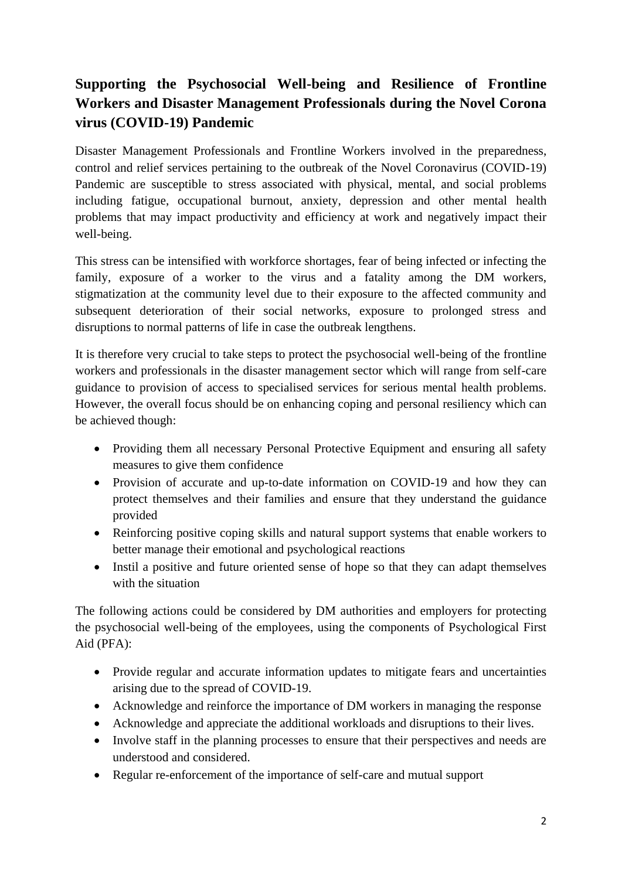## **Supporting the Psychosocial Well-being and Resilience of Frontline Workers and Disaster Management Professionals during the Novel Corona virus (COVID-19) Pandemic**

Disaster Management Professionals and Frontline Workers involved in the preparedness, control and relief services pertaining to the outbreak of the Novel Coronavirus (COVID-19) Pandemic are susceptible to stress associated with physical, mental, and social problems including fatigue, occupational burnout, anxiety, depression and other mental health problems that may impact productivity and efficiency at work and negatively impact their well-being.

This stress can be intensified with workforce shortages, fear of being infected or infecting the family, exposure of a worker to the virus and a fatality among the DM workers, stigmatization at the community level due to their exposure to the affected community and subsequent deterioration of their social networks, exposure to prolonged stress and disruptions to normal patterns of life in case the outbreak lengthens.

It is therefore very crucial to take steps to protect the psychosocial well-being of the frontline workers and professionals in the disaster management sector which will range from self-care guidance to provision of access to specialised services for serious mental health problems. However, the overall focus should be on enhancing coping and personal resiliency which can be achieved though:

- Providing them all necessary Personal Protective Equipment and ensuring all safety measures to give them confidence
- Provision of accurate and up-to-date information on COVID-19 and how they can protect themselves and their families and ensure that they understand the guidance provided
- Reinforcing positive coping skills and natural support systems that enable workers to better manage their emotional and psychological reactions
- Instil a positive and future oriented sense of hope so that they can adapt themselves with the situation

The following actions could be considered by DM authorities and employers for protecting the psychosocial well-being of the employees, using the components of Psychological First Aid (PFA):

- Provide regular and accurate information updates to mitigate fears and uncertainties arising due to the spread of COVID-19.
- Acknowledge and reinforce the importance of DM workers in managing the response
- Acknowledge and appreciate the additional workloads and disruptions to their lives.
- Involve staff in the planning processes to ensure that their perspectives and needs are understood and considered.
- Regular re-enforcement of the importance of self-care and mutual support